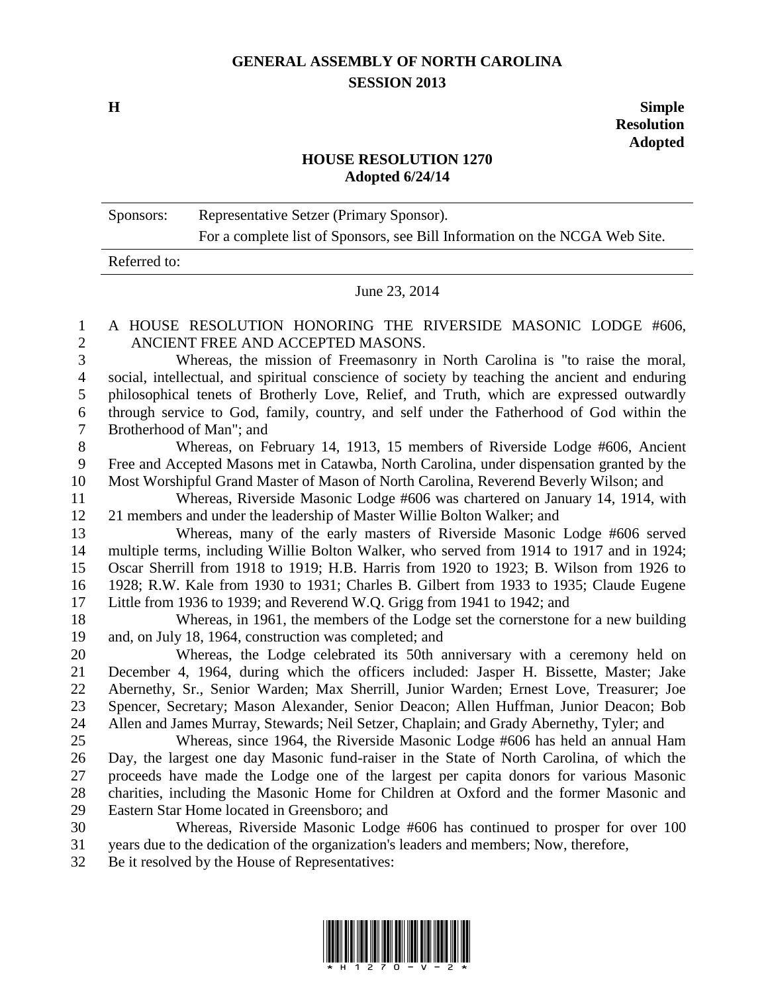# **GENERAL ASSEMBLY OF NORTH CAROLINA SESSION 2013**

**H Simple Resolution Adopted**

## **HOUSE RESOLUTION 1270 Adopted 6/24/14**

| Sponsors: | Representative Setzer (Primary Sponsor).                                    |
|-----------|-----------------------------------------------------------------------------|
|           | For a complete list of Sponsors, see Bill Information on the NCGA Web Site. |

Referred to:

#### June 23, 2014

## A HOUSE RESOLUTION HONORING THE RIVERSIDE MASONIC LODGE #606, ANCIENT FREE AND ACCEPTED MASONS.

 Whereas, the mission of Freemasonry in North Carolina is "to raise the moral, social, intellectual, and spiritual conscience of society by teaching the ancient and enduring philosophical tenets of Brotherly Love, Relief, and Truth, which are expressed outwardly through service to God, family, country, and self under the Fatherhood of God within the Brotherhood of Man"; and

 Whereas, on February 14, 1913, 15 members of Riverside Lodge #606, Ancient Free and Accepted Masons met in Catawba, North Carolina, under dispensation granted by the Most Worshipful Grand Master of Mason of North Carolina, Reverend Beverly Wilson; and

 Whereas, Riverside Masonic Lodge #606 was chartered on January 14, 1914, with 21 members and under the leadership of Master Willie Bolton Walker; and

 Whereas, many of the early masters of Riverside Masonic Lodge #606 served multiple terms, including Willie Bolton Walker, who served from 1914 to 1917 and in 1924; Oscar Sherrill from 1918 to 1919; H.B. Harris from 1920 to 1923; B. Wilson from 1926 to 1928; R.W. Kale from 1930 to 1931; Charles B. Gilbert from 1933 to 1935; Claude Eugene Little from 1936 to 1939; and Reverend W.Q. Grigg from 1941 to 1942; and

 Whereas, in 1961, the members of the Lodge set the cornerstone for a new building and, on July 18, 1964, construction was completed; and

 Whereas, the Lodge celebrated its 50th anniversary with a ceremony held on December 4, 1964, during which the officers included: Jasper H. Bissette, Master; Jake Abernethy, Sr., Senior Warden; Max Sherrill, Junior Warden; Ernest Love, Treasurer; Joe Spencer, Secretary; Mason Alexander, Senior Deacon; Allen Huffman, Junior Deacon; Bob Allen and James Murray, Stewards; Neil Setzer, Chaplain; and Grady Abernethy, Tyler; and

 Whereas, since 1964, the Riverside Masonic Lodge #606 has held an annual Ham Day, the largest one day Masonic fund-raiser in the State of North Carolina, of which the proceeds have made the Lodge one of the largest per capita donors for various Masonic charities, including the Masonic Home for Children at Oxford and the former Masonic and Eastern Star Home located in Greensboro; and

 Whereas, Riverside Masonic Lodge #606 has continued to prosper for over 100 years due to the dedication of the organization's leaders and members; Now, therefore,

Be it resolved by the House of Representatives: